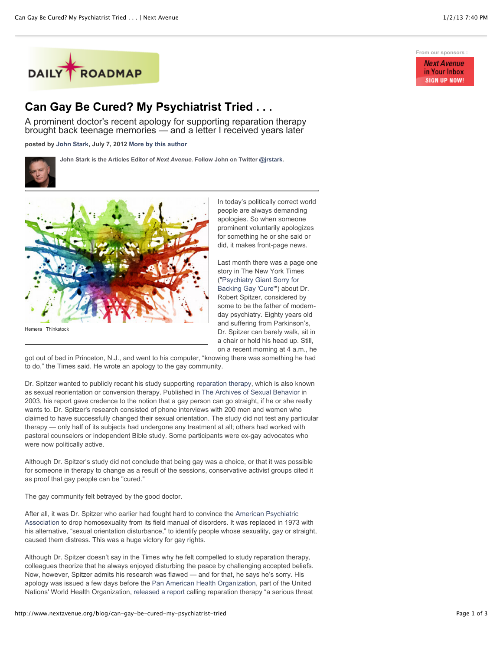

## **Can Gay Be Cured? My Psychiatrist Tried . . .**

A prominent doctor's recent apology for supporting reparation therapy brought back teenage memories — and a letter I received years later

**posted by [John Stark,](http://www.nextavenue.org/staff/john-stark) July 7, 2012 [More by this author](http://www.nextavenue.org/staff/john-stark)**

**John Stark is the Articles Editor of** *Next Avenue***. Follow John on Twitter [@jrstark.](http://twitter.com/jrstark)**



Hemera | Thinkstock

In today's politically correct world people are always demanding apologies. So when someone prominent voluntarily apologizes for something he or she said or did, it makes front-page news.

Last month there was a page one story in The New York Times ("Psychiatry Giant Sorry for [Backing Gay 'Cure'"\) about](http://www.nytimes.com/2012/05/19/health/dr-robert-l-spitzer-noted-psychiatrist-apologizes-for-study-on-gay-cure.html?_r=1&pagewanted=all) Dr. Robert Spitzer, considered by some to be the father of modernday psychiatry. Eighty years old and suffering from Parkinson's, Dr. Spitzer can barely walk, sit in a chair or hold his head up. Still, on a recent morning at 4 a.m., he

got out of bed in Princeton, N.J., and went to his computer, "knowing there was something he had to do," the Times said. He wrote an apology to the gay community.

Dr. Spitzer wanted to publicly recant his study supporting [reparation therapy,](http://en.wikipedia.org/wiki/Conversion_therapy) which is also known as sexual reorientation or conversion therapy. Published in [The Archives of Sexual Behavior](http://en.wikipedia.org/wiki/Archives_of_Sexual_Behavior) in 2003, his report gave credence to the notion that a gay person can go straight, if he or she really wants to. Dr. Spitzer's research consisted of phone interviews with 200 men and women who claimed to have successfully changed their sexual orientation. The study did not test any particular therapy — only half of its subjects had undergone any treatment at all; others had worked with pastoral counselors or independent Bible study. Some participants were ex-gay advocates who were now politically active.

Although Dr. Spitzer's study did not conclude that being gay was a choice, or that it was possible for someone in therapy to change as a result of the sessions, conservative activist groups cited it as proof that gay people can be "cured."

The gay community felt betrayed by the good doctor.

After all, it was Dr. Spitzer who earlier had fought hard to convince the American Psychiatric [Association to drop homosexuality from its field manual of disorders. It was replaced in 1973](http://www.apa.org/) with his alternative, "sexual orientation disturbance," to identify people whose sexuality, gay or straight, caused them distress. This was a huge victory for gay rights.

Although Dr. Spitzer doesn't say in the Times why he felt compelled to study reparation therapy, colleagues theorize that he always enjoyed disturbing the peace by challenging accepted beliefs. Now, however, Spitzer admits his research was flawed — and for that, he says he's sorry. His apology was issued a few days before the [Pan American Health Organization,](http://new.paho.org/index.php) part of the United Nations' World Health Organization, [released a report](http://www.ama-assn.org/ama/pub/amawire/2012-may-30/2012-may-30-glbt.shtml) calling reparation therapy "a serious threat

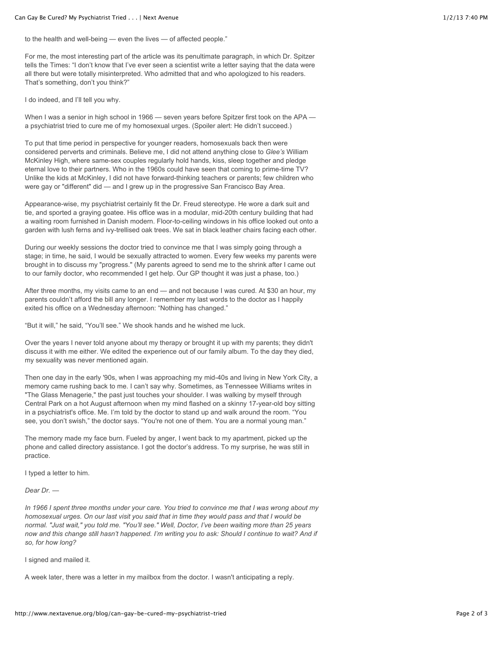to the health and well-being — even the lives — of affected people."

For me, the most interesting part of the article was its penultimate paragraph, in which Dr. Spitzer tells the Times: "I don't know that I've ever seen a scientist write a letter saying that the data were all there but were totally misinterpreted. Who admitted that and who apologized to his readers. That's something, don't you think?"

I do indeed, and I'll tell you why.

When I was a senior in high school in 1966 — seven years before Spitzer first took on the APA a psychiatrist tried to cure me of my homosexual urges. (Spoiler alert: He didn't succeed.)

To put that time period in perspective for younger readers, homosexuals back then were considered perverts and criminals. Believe me, I did not attend anything close to *Glee's* William McKinley High, where same-sex couples regularly hold hands, kiss, sleep together and pledge eternal love to their partners. Who in the 1960s could have seen that coming to prime-time TV? Unlike the kids at McKinley, I did not have forward-thinking teachers or parents; few children who were gay or "different" did — and I grew up in the progressive San Francisco Bay Area.

Appearance-wise, my psychiatrist certainly fit the Dr. Freud stereotype. He wore a dark suit and tie, and sported a graying goatee. His office was in a modular, mid-20th century building that had a waiting room furnished in Danish modern. Floor-to-ceiling windows in his office looked out onto a garden with lush ferns and ivy-trellised oak trees. We sat in black leather chairs facing each other.

During our weekly sessions the doctor tried to convince me that I was simply going through a stage; in time, he said, I would be sexually attracted to women. Every few weeks my parents were brought in to discuss my "progress." (My parents agreed to send me to the shrink after I came out to our family doctor, who recommended I get help. Our GP thought it was just a phase, too.)

After three months, my visits came to an end — and not because I was cured. At \$30 an hour, my parents couldn't afford the bill any longer. I remember my last words to the doctor as I happily exited his office on a Wednesday afternoon: "Nothing has changed."

"But it will," he said, "You'll see." We shook hands and he wished me luck.

Over the years I never told anyone about my therapy or brought it up with my parents; they didn't discuss it with me either. We edited the experience out of our family album. To the day they died, my sexuality was never mentioned again.

Then one day in the early '90s, when I was approaching my mid-40s and living in New York City, a memory came rushing back to me. I can't say why. Sometimes, as Tennessee Williams writes in "The Glass Menagerie," the past just touches your shoulder. I was walking by myself through Central Park on a hot August afternoon when my mind flashed on a skinny 17-year-old boy sitting in a psychiatrist's office. Me. I'm told by the doctor to stand up and walk around the room. "You see, you don't swish," the doctor says. "You're not one of them. You are a normal young man."

The memory made my face burn. Fueled by anger, I went back to my apartment, picked up the phone and called directory assistance. I got the doctor's address. To my surprise, he was still in practice.

I typed a letter to him.

*Dear Dr. —*

*In 1966 I spent three months under your care. You tried to convince me that I was wrong about my homosexual urges. On our last visit you said that in time they would pass and that I would be normal. "Just wait," you told me. "You'll see." Well, Doctor, I've been waiting more than 25 years now and this change still hasn't happened. I'm writing you to ask: Should I continue to wait? And if so, for how long?*

I signed and mailed it.

A week later, there was a letter in my mailbox from the doctor. I wasn't anticipating a reply.